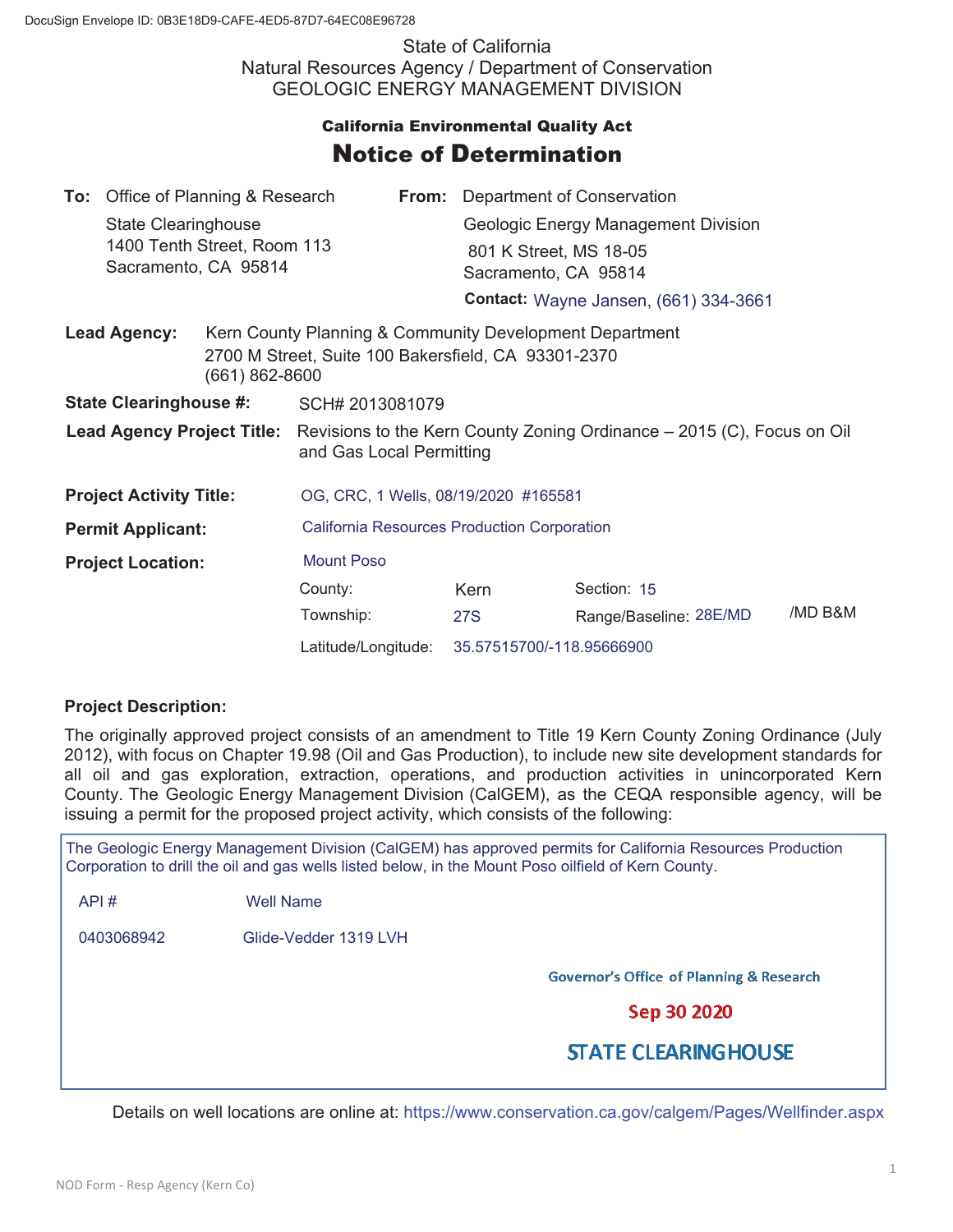State of California Natural Resources Agency / Department of Conservation GEOLOGIC ENERGY MANAGEMENT DIVISION

## **California Environmental Quality Act** Notice of Determination

|                                       | To: Office of Planning & Research                         |                                                                                                                                      |                                                                                                                |  | <b>From:</b> Department of Conservation      |                        |         |  |
|---------------------------------------|-----------------------------------------------------------|--------------------------------------------------------------------------------------------------------------------------------------|----------------------------------------------------------------------------------------------------------------|--|----------------------------------------------|------------------------|---------|--|
|                                       | <b>State Clearinghouse</b><br>1400 Tenth Street, Room 113 |                                                                                                                                      |                                                                                                                |  | Geologic Energy Management Division          |                        |         |  |
|                                       |                                                           |                                                                                                                                      |                                                                                                                |  | 801 K Street, MS 18-05                       |                        |         |  |
| Sacramento, CA 95814                  |                                                           |                                                                                                                                      |                                                                                                                |  | Sacramento, CA 95814                         |                        |         |  |
|                                       |                                                           |                                                                                                                                      |                                                                                                                |  | <b>Contact: Wayne Jansen, (661) 334-3661</b> |                        |         |  |
| <b>Lead Agency:</b><br>(661) 862-8600 |                                                           |                                                                                                                                      | Kern County Planning & Community Development Department<br>2700 M Street, Suite 100 Bakersfield, CA 93301-2370 |  |                                              |                        |         |  |
| <b>State Clearinghouse #:</b>         |                                                           |                                                                                                                                      | SCH# 2013081079                                                                                                |  |                                              |                        |         |  |
|                                       |                                                           | <b>Lead Agency Project Title:</b> Revisions to the Kern County Zoning Ordinance – 2015 (C), Focus on Oil<br>and Gas Local Permitting |                                                                                                                |  |                                              |                        |         |  |
| <b>Project Activity Title:</b>        |                                                           |                                                                                                                                      | OG, CRC, 1 Wells, 08/19/2020 #165581                                                                           |  |                                              |                        |         |  |
| <b>Permit Applicant:</b>              |                                                           |                                                                                                                                      | <b>California Resources Production Corporation</b>                                                             |  |                                              |                        |         |  |
| <b>Project Location:</b>              |                                                           | <b>Mount Poso</b>                                                                                                                    |                                                                                                                |  |                                              |                        |         |  |
|                                       |                                                           |                                                                                                                                      | County:                                                                                                        |  | Kern                                         | Section: 15            |         |  |
|                                       |                                                           |                                                                                                                                      | Township:                                                                                                      |  | 27S                                          | Range/Baseline: 28E/MD | /MD B&M |  |
|                                       |                                                           |                                                                                                                                      | Latitude/Longitude:                                                                                            |  | 35.57515700/-118.95666900                    |                        |         |  |

## **Project Description:**

The originally approved project consists of an amendment to Title 19 Kern County Zoning Ordinance (July 2012), with focus on Chapter 19.98 (Oil and Gas Production), to include new site development standards for all oil and gas exploration, extraction, operations, and production activities in unincorporated Kern County. The Geologic Energy Management Division (CalGEM), as the CEQA responsible agency, will be issuing a permit for the proposed project activity, which consists of the following:

The Geologic Energy Management Division (CalGEM) has approved permits for California Resources Production Corporation to drill the oil and gas wells listed below, in the Mount Poso oilfield of Kern County.

API # Well Name

0403068942 Glide-Vedder 1319 LVH

**Governor's Office of Planning & Research** 

Sep 30 2020

## **STATE CLEARING HOUSE**

Details on well locations are online at: https://www.conservation.ca.gov/calgem/Pages/Wellfinder.aspx